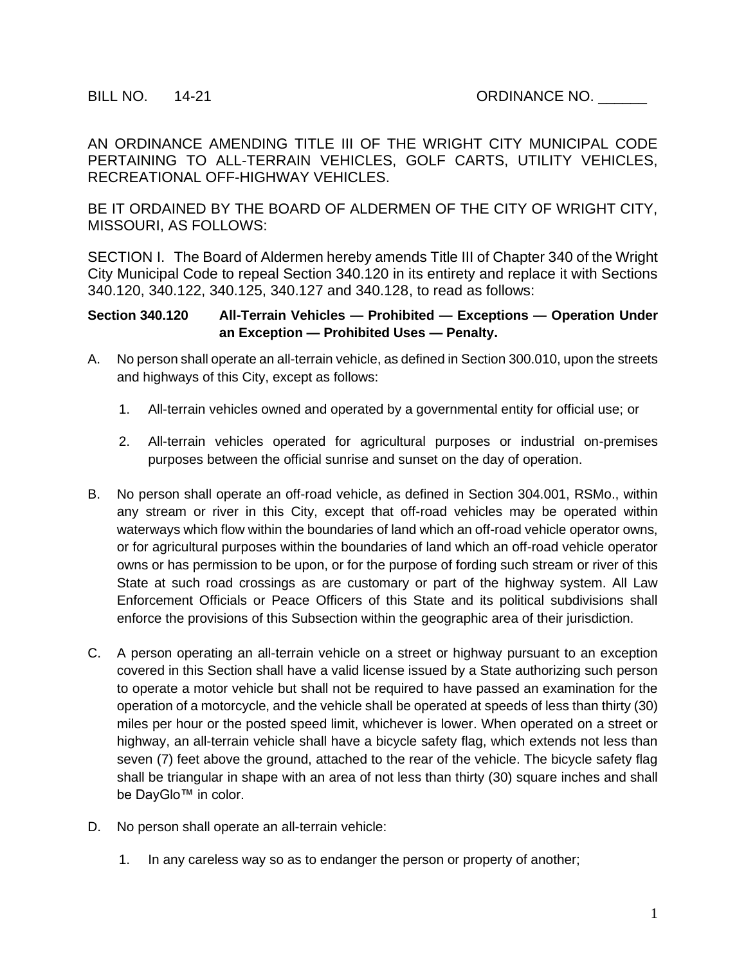AN ORDINANCE AMENDING TITLE III OF THE WRIGHT CITY MUNICIPAL CODE PERTAINING TO ALL-TERRAIN VEHICLES, GOLF CARTS, UTILITY VEHICLES, RECREATIONAL OFF-HIGHWAY VEHICLES.

BE IT ORDAINED BY THE BOARD OF ALDERMEN OF THE CITY OF WRIGHT CITY, MISSOURI, AS FOLLOWS:

SECTION I. The Board of Aldermen hereby amends Title III of Chapter 340 of the Wright City Municipal Code to repeal Section 340.120 in its entirety and replace it with Sections 340.120, 340.122, 340.125, 340.127 and 340.128, to read as follows:

**Section 340.120 All-Terrain Vehicles — Prohibited — Exceptions — Operation Under an Exception — Prohibited Uses — Penalty.** 

- A. No person shall operate an all-terrain vehicle, as defined in Section 300.010, upon the streets and highways of this City, except as follows:
	- 1. All-terrain vehicles owned and operated by a governmental entity for official use; or
	- 2. All-terrain vehicles operated for agricultural purposes or industrial on-premises purposes between the official sunrise and sunset on the day of operation.
- B. No person shall operate an off-road vehicle, as defined in Section 304.001, RSMo., within any stream or river in this City, except that off-road vehicles may be operated within waterways which flow within the boundaries of land which an off-road vehicle operator owns, or for agricultural purposes within the boundaries of land which an off-road vehicle operator owns or has permission to be upon, or for the purpose of fording such stream or river of this State at such road crossings as are customary or part of the highway system. All Law Enforcement Officials or Peace Officers of this State and its political subdivisions shall enforce the provisions of this Subsection within the geographic area of their jurisdiction.
- C. A person operating an all-terrain vehicle on a street or highway pursuant to an exception covered in this Section shall have a valid license issued by a State authorizing such person to operate a motor vehicle but shall not be required to have passed an examination for the operation of a motorcycle, and the vehicle shall be operated at speeds of less than thirty (30) miles per hour or the posted speed limit, whichever is lower. When operated on a street or highway, an all-terrain vehicle shall have a bicycle safety flag, which extends not less than seven (7) feet above the ground, attached to the rear of the vehicle. The bicycle safety flag shall be triangular in shape with an area of not less than thirty (30) square inches and shall be DayGlo™ in color.
- D. No person shall operate an all-terrain vehicle:
	- 1. In any careless way so as to endanger the person or property of another;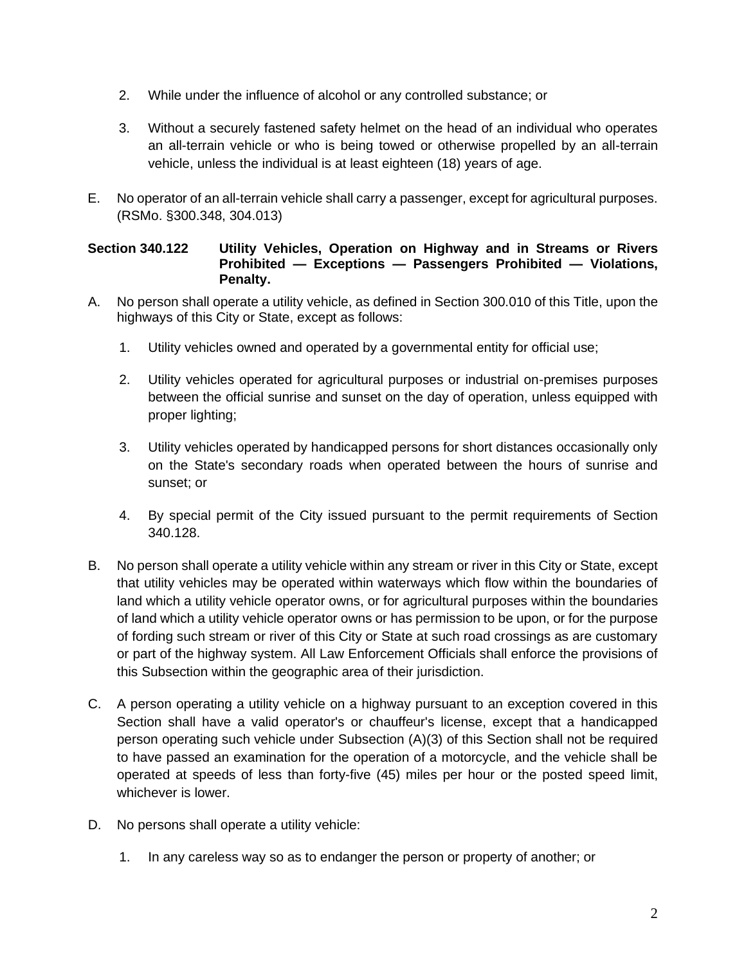- 2. While under the influence of alcohol or any controlled substance; or
- 3. Without a securely fastened safety helmet on the head of an individual who operates an all-terrain vehicle or who is being towed or otherwise propelled by an all-terrain vehicle, unless the individual is at least eighteen (18) years of age.
- E. No operator of an all-terrain vehicle shall carry a passenger, except for agricultural purposes. (RSMo. §300.348, 304.013)

## **Section 340.122 Utility Vehicles, Operation on Highway and in Streams or Rivers Prohibited — Exceptions — Passengers Prohibited — Violations, Penalty.**

- A. No person shall operate a utility vehicle, as defined in Section 300.010 of this Title, upon the highways of this City or State, except as follows:
	- 1. Utility vehicles owned and operated by a governmental entity for official use;
	- 2. Utility vehicles operated for agricultural purposes or industrial on-premises purposes between the official sunrise and sunset on the day of operation, unless equipped with proper lighting;
	- 3. Utility vehicles operated by handicapped persons for short distances occasionally only on the State's secondary roads when operated between the hours of sunrise and sunset; or
	- 4. By special permit of the City issued pursuant to the permit requirements of Section 340.128.
- B. No person shall operate a utility vehicle within any stream or river in this City or State, except that utility vehicles may be operated within waterways which flow within the boundaries of land which a utility vehicle operator owns, or for agricultural purposes within the boundaries of land which a utility vehicle operator owns or has permission to be upon, or for the purpose of fording such stream or river of this City or State at such road crossings as are customary or part of the highway system. All Law Enforcement Officials shall enforce the provisions of this Subsection within the geographic area of their jurisdiction.
- C. A person operating a utility vehicle on a highway pursuant to an exception covered in this Section shall have a valid operator's or chauffeur's license, except that a handicapped person operating such vehicle under Subsection (A)(3) of this Section shall not be required to have passed an examination for the operation of a motorcycle, and the vehicle shall be operated at speeds of less than forty-five (45) miles per hour or the posted speed limit, whichever is lower.
- D. No persons shall operate a utility vehicle:
	- 1. In any careless way so as to endanger the person or property of another; or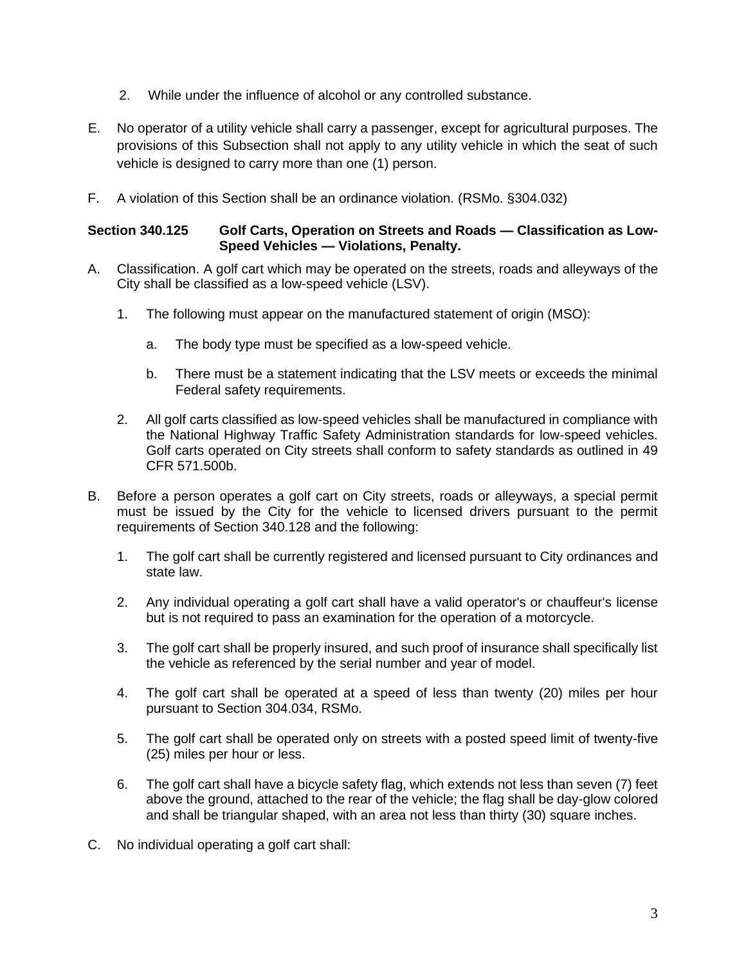- 2. While under the influence of alcohol or any controlled substance.
- E. No operator of a utility vehicle shall carry a passenger, except for agricultural purposes. The provisions of this Subsection shall not apply to any utility vehicle in which the seat of such vehicle is designed to carry more than one (1) person.
- F. A violation of this Section shall be an ordinance violation. (RSMo. §304.032)

### **Section 340.125 Golf Carts, Operation on Streets and Roads — Classification as Low-Speed Vehicles — Violations, Penalty.**

- A. Classification. A golf cart which may be operated on the streets, roads and alleyways of the City shall be classified as a low-speed vehicle (LSV).
	- 1. The following must appear on the manufactured statement of origin (MSO):
		- a. The body type must be specified as a low-speed vehicle.
		- b. There must be a statement indicating that the LSV meets or exceeds the minimal Federal safety requirements.
	- 2. All golf carts classified as low-speed vehicles shall be manufactured in compliance with the National Highway Traffic Safety Administration standards for low-speed vehicles. Golf carts operated on City streets shall conform to safety standards as outlined in 49 CFR 571.500b.
- B. Before a person operates a golf cart on City streets, roads or alleyways, a special permit must be issued by the City for the vehicle to licensed drivers pursuant to the permit requirements of Section 340.128 and the following:
	- 1. The golf cart shall be currently registered and licensed pursuant to City ordinances and state law.
	- 2. Any individual operating a golf cart shall have a valid operator's or chauffeur's license but is not required to pass an examination for the operation of a motorcycle.
	- 3. The golf cart shall be properly insured, and such proof of insurance shall specifically list the vehicle as referenced by the serial number and year of model.
	- 4. The golf cart shall be operated at a speed of less than twenty (20) miles per hour pursuant to Section 304.034, RSMo.
	- 5. The golf cart shall be operated only on streets with a posted speed limit of twenty-five (25) miles per hour or less.
	- 6. The golf cart shall have a bicycle safety flag, which extends not less than seven (7) feet above the ground, attached to the rear of the vehicle; the flag shall be day-glow colored and shall be triangular shaped, with an area not less than thirty (30) square inches.
- C. No individual operating a golf cart shall: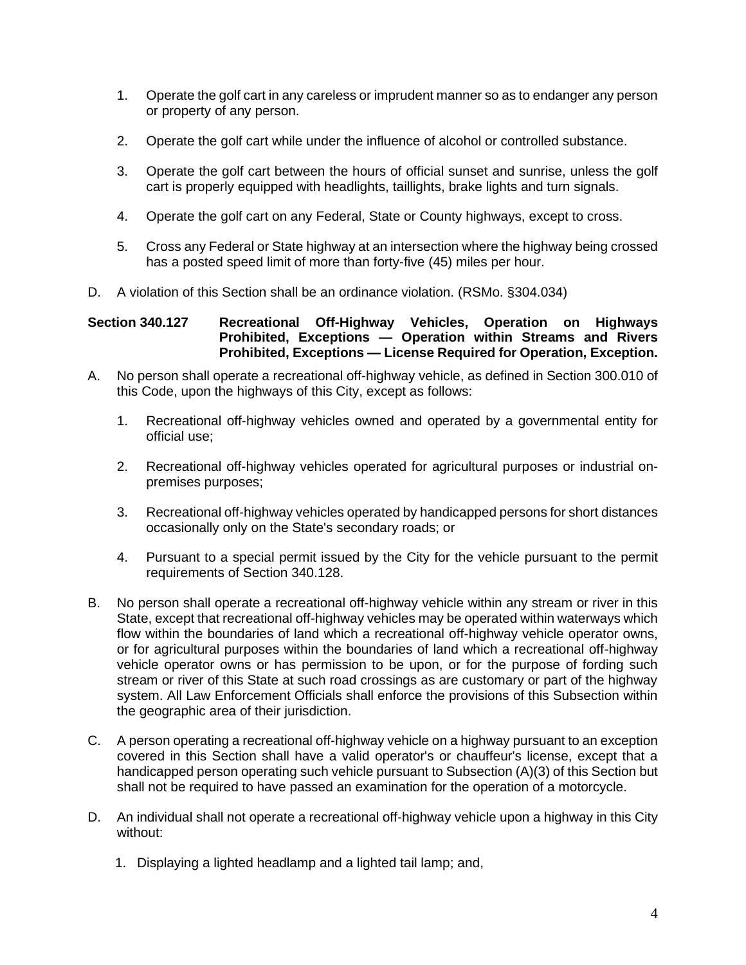- 1. Operate the golf cart in any careless or imprudent manner so as to endanger any person or property of any person.
- 2. Operate the golf cart while under the influence of alcohol or controlled substance.
- 3. Operate the golf cart between the hours of official sunset and sunrise, unless the golf cart is properly equipped with headlights, taillights, brake lights and turn signals.
- 4. Operate the golf cart on any Federal, State or County highways, except to cross.
- 5. Cross any Federal or State highway at an intersection where the highway being crossed has a posted speed limit of more than forty-five (45) miles per hour.
- D. A violation of this Section shall be an ordinance violation. (RSMo. §304.034)

# **Section 340.127 Recreational Off-Highway Vehicles, Operation on Highways Prohibited, Exceptions — Operation within Streams and Rivers Prohibited, Exceptions — License Required for Operation, Exception.**

- A. No person shall operate a recreational off-highway vehicle, as defined in Section 300.010 of this Code, upon the highways of this City, except as follows:
	- 1. Recreational off-highway vehicles owned and operated by a governmental entity for official use;
	- 2. Recreational off-highway vehicles operated for agricultural purposes or industrial onpremises purposes;
	- 3. Recreational off-highway vehicles operated by handicapped persons for short distances occasionally only on the State's secondary roads; or
	- 4. Pursuant to a special permit issued by the City for the vehicle pursuant to the permit requirements of Section 340.128.
- B. No person shall operate a recreational off-highway vehicle within any stream or river in this State, except that recreational off-highway vehicles may be operated within waterways which flow within the boundaries of land which a recreational off-highway vehicle operator owns, or for agricultural purposes within the boundaries of land which a recreational off-highway vehicle operator owns or has permission to be upon, or for the purpose of fording such stream or river of this State at such road crossings as are customary or part of the highway system. All Law Enforcement Officials shall enforce the provisions of this Subsection within the geographic area of their jurisdiction.
- C. A person operating a recreational off-highway vehicle on a highway pursuant to an exception covered in this Section shall have a valid operator's or chauffeur's license, except that a handicapped person operating such vehicle pursuant to Subsection (A)(3) of this Section but shall not be required to have passed an examination for the operation of a motorcycle.
- D. An individual shall not operate a recreational off-highway vehicle upon a highway in this City without:
	- 1. Displaying a lighted headlamp and a lighted tail lamp; and,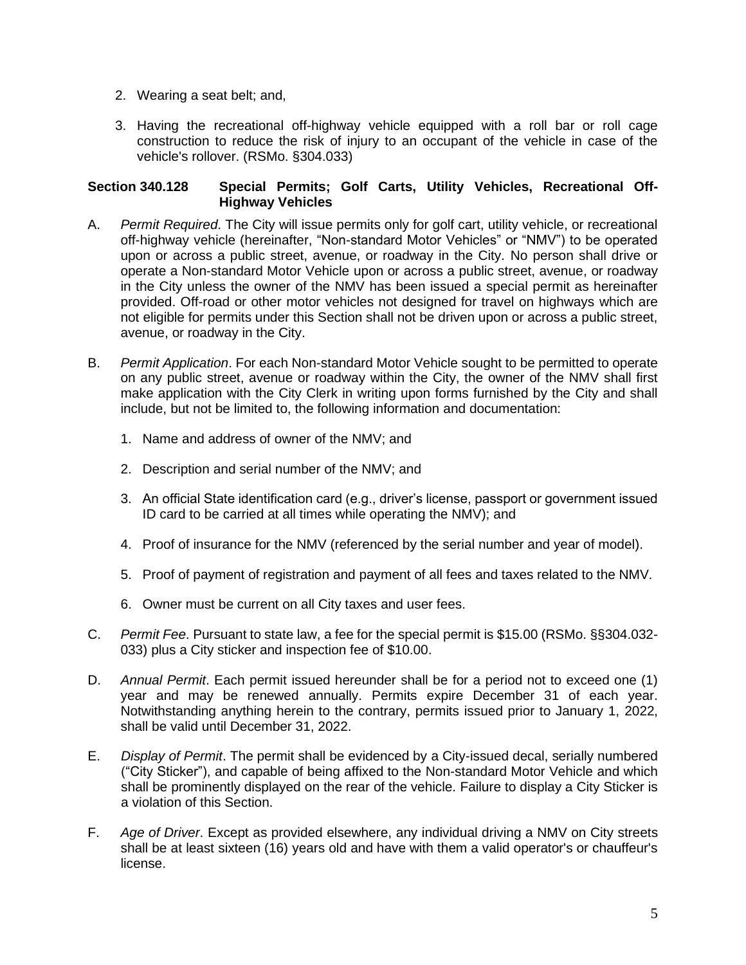- 2. Wearing a seat belt; and,
- 3. Having the recreational off-highway vehicle equipped with a roll bar or roll cage construction to reduce the risk of injury to an occupant of the vehicle in case of the vehicle's rollover. (RSMo. §304.033)

### **Section 340.128 Special Permits; Golf Carts, Utility Vehicles, Recreational Off-Highway Vehicles**

- A. *Permit Required*. The City will issue permits only for golf cart, utility vehicle, or recreational off-highway vehicle (hereinafter, "Non-standard Motor Vehicles" or "NMV") to be operated upon or across a public street, avenue, or roadway in the City. No person shall drive or operate a Non-standard Motor Vehicle upon or across a public street, avenue, or roadway in the City unless the owner of the NMV has been issued a special permit as hereinafter provided. Off-road or other motor vehicles not designed for travel on highways which are not eligible for permits under this Section shall not be driven upon or across a public street, avenue, or roadway in the City.
- B. *Permit Application*. For each Non-standard Motor Vehicle sought to be permitted to operate on any public street, avenue or roadway within the City, the owner of the NMV shall first make application with the City Clerk in writing upon forms furnished by the City and shall include, but not be limited to, the following information and documentation:
	- 1. Name and address of owner of the NMV; and
	- 2. Description and serial number of the NMV; and
	- 3. An official State identification card (e.g., driver's license, passport or government issued ID card to be carried at all times while operating the NMV); and
	- 4. Proof of insurance for the NMV (referenced by the serial number and year of model).
	- 5. Proof of payment of registration and payment of all fees and taxes related to the NMV.
	- 6. Owner must be current on all City taxes and user fees.
- C. *Permit Fee*. Pursuant to state law, a fee for the special permit is \$15.00 (RSMo. §§304.032- 033) plus a City sticker and inspection fee of \$10.00.
- D. *Annual Permit*. Each permit issued hereunder shall be for a period not to exceed one (1) year and may be renewed annually. Permits expire December 31 of each year. Notwithstanding anything herein to the contrary, permits issued prior to January 1, 2022, shall be valid until December 31, 2022.
- E. *Display of Permit*. The permit shall be evidenced by a City-issued decal, serially numbered ("City Sticker"), and capable of being affixed to the Non-standard Motor Vehicle and which shall be prominently displayed on the rear of the vehicle. Failure to display a City Sticker is a violation of this Section.
- F. *Age of Driver*. Except as provided elsewhere, any individual driving a NMV on City streets shall be at least sixteen (16) years old and have with them a valid operator's or chauffeur's license.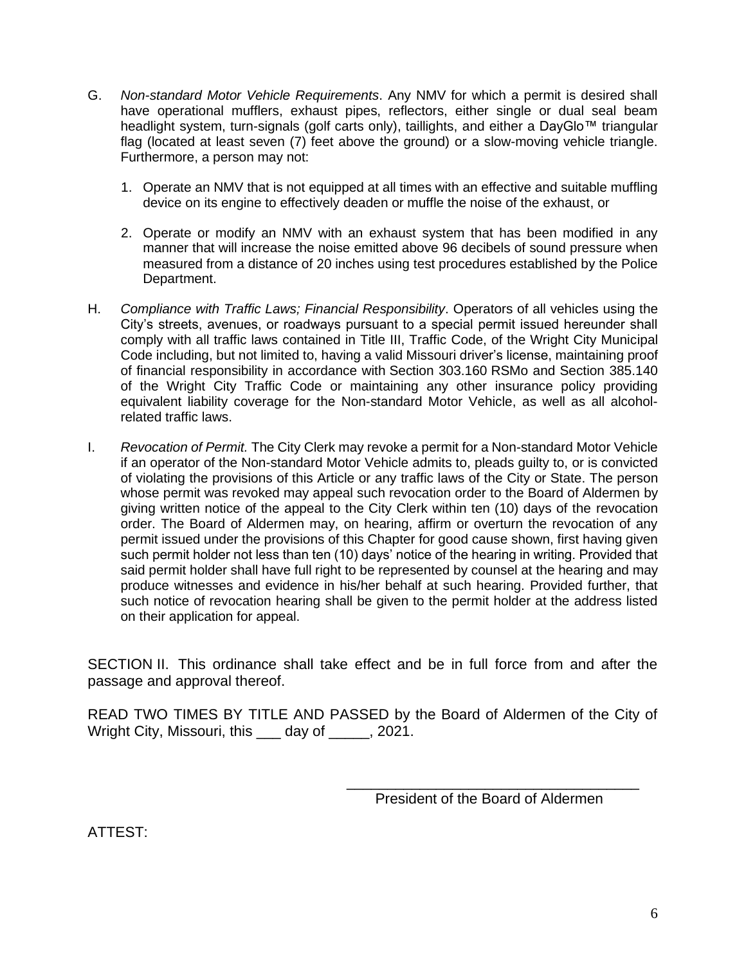- G. *Non-standard Motor Vehicle Requirements*. Any NMV for which a permit is desired shall have operational mufflers, exhaust pipes, reflectors, either single or dual seal beam headlight system, turn-signals (golf carts only), taillights, and either a DayGlo™ triangular flag (located at least seven (7) feet above the ground) or a slow-moving vehicle triangle. Furthermore, a person may not:
	- 1. Operate an NMV that is not equipped at all times with an effective and suitable muffling device on its engine to effectively deaden or muffle the noise of the exhaust, or
	- 2. Operate or modify an NMV with an exhaust system that has been modified in any manner that will increase the noise emitted above 96 decibels of sound pressure when measured from a distance of 20 inches using test procedures established by the Police Department.
- H. *Compliance with Traffic Laws; Financial Responsibility*. Operators of all vehicles using the City's streets, avenues, or roadways pursuant to a special permit issued hereunder shall comply with all traffic laws contained in Title III, Traffic Code, of the Wright City Municipal Code including, but not limited to, having a valid Missouri driver's license, maintaining proof of financial responsibility in accordance with Section 303.160 RSMo and Section 385.140 of the Wright City Traffic Code or maintaining any other insurance policy providing equivalent liability coverage for the Non-standard Motor Vehicle, as well as all alcoholrelated traffic laws.
- I. *Revocation of Permit.* The City Clerk may revoke a permit for a Non-standard Motor Vehicle if an operator of the Non-standard Motor Vehicle admits to, pleads guilty to, or is convicted of violating the provisions of this Article or any traffic laws of the City or State. The person whose permit was revoked may appeal such revocation order to the Board of Aldermen by giving written notice of the appeal to the City Clerk within ten (10) days of the revocation order. The Board of Aldermen may, on hearing, affirm or overturn the revocation of any permit issued under the provisions of this Chapter for good cause shown, first having given such permit holder not less than ten (10) days' notice of the hearing in writing. Provided that said permit holder shall have full right to be represented by counsel at the hearing and may produce witnesses and evidence in his/her behalf at such hearing. Provided further, that such notice of revocation hearing shall be given to the permit holder at the address listed on their application for appeal.

SECTION II. This ordinance shall take effect and be in full force from and after the passage and approval thereof.

READ TWO TIMES BY TITLE AND PASSED by the Board of Aldermen of the City of Wright City, Missouri, this day of , 2021.

> \_\_\_\_\_\_\_\_\_\_\_\_\_\_\_\_\_\_\_\_\_\_\_\_\_\_\_\_\_\_\_\_\_\_\_\_ President of the Board of Aldermen

ATTEST: